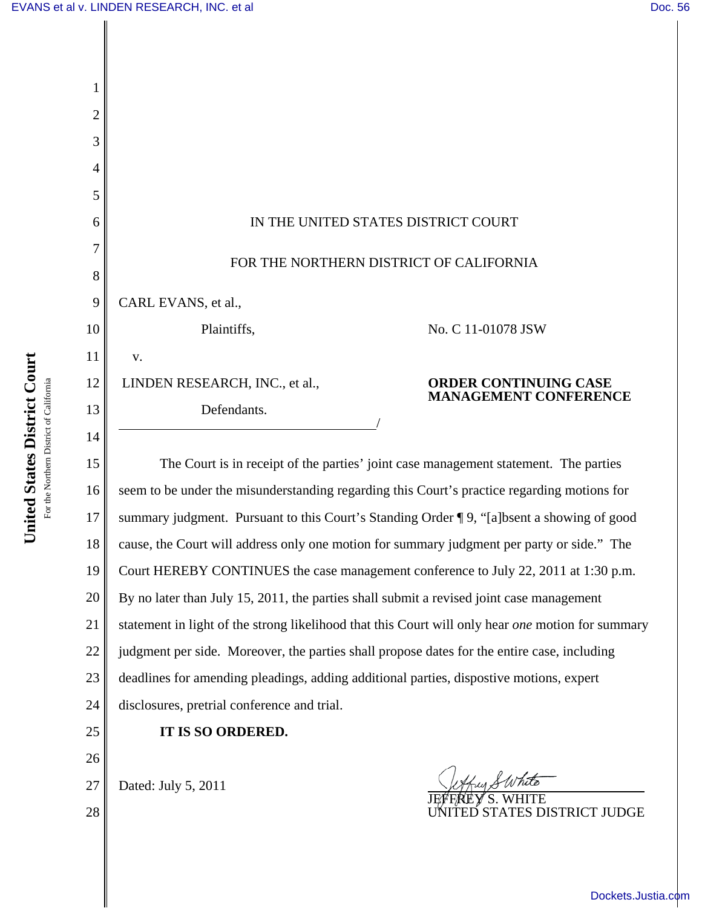| 1              |                                                                                                   |
|----------------|---------------------------------------------------------------------------------------------------|
| 2              |                                                                                                   |
| 3              |                                                                                                   |
| $\overline{4}$ |                                                                                                   |
| 5              |                                                                                                   |
| 6              | IN THE UNITED STATES DISTRICT COURT                                                               |
| 7              | FOR THE NORTHERN DISTRICT OF CALIFORNIA                                                           |
| 8              |                                                                                                   |
| 9              | CARL EVANS, et al.,                                                                               |
| 10             | No. C 11-01078 JSW<br>Plaintiffs,                                                                 |
| 11             | v.                                                                                                |
| 12             | LINDEN RESEARCH, INC., et al.,<br><b>ORDER CONTINUING CASE</b><br><b>MANAGEMENT CONFERENCE</b>    |
| 13             | Defendants.                                                                                       |
| 14             |                                                                                                   |
| 15             | The Court is in receipt of the parties' joint case management statement. The parties              |
| 16             | seem to be under the misunderstanding regarding this Court's practice regarding motions for       |
| 17             | summary judgment. Pursuant to this Court's Standing Order ¶ 9, "[a]bsent a showing of good        |
| 18             | cause, the Court will address only one motion for summary judgment per party or side." The        |
| 19             | Court HEREBY CONTINUES the case management conference to July 22, 2011 at 1:30 p.m.               |
| 20             | By no later than July 15, 2011, the parties shall submit a revised joint case management          |
| 21             | statement in light of the strong likelihood that this Court will only hear one motion for summary |
| 22             | judgment per side. Moreover, the parties shall propose dates for the entire case, including       |
| 23             | deadlines for amending pleadings, adding additional parties, dispostive motions, expert           |
| 24             | disclosures, pretrial conference and trial.                                                       |
| 25             | IT IS SO ORDERED.                                                                                 |
| 26             |                                                                                                   |
| 27             | Dated: July 5, 2011                                                                               |
| 28             | <b>TATES DISTRICT JUDGE</b>                                                                       |
|                |                                                                                                   |